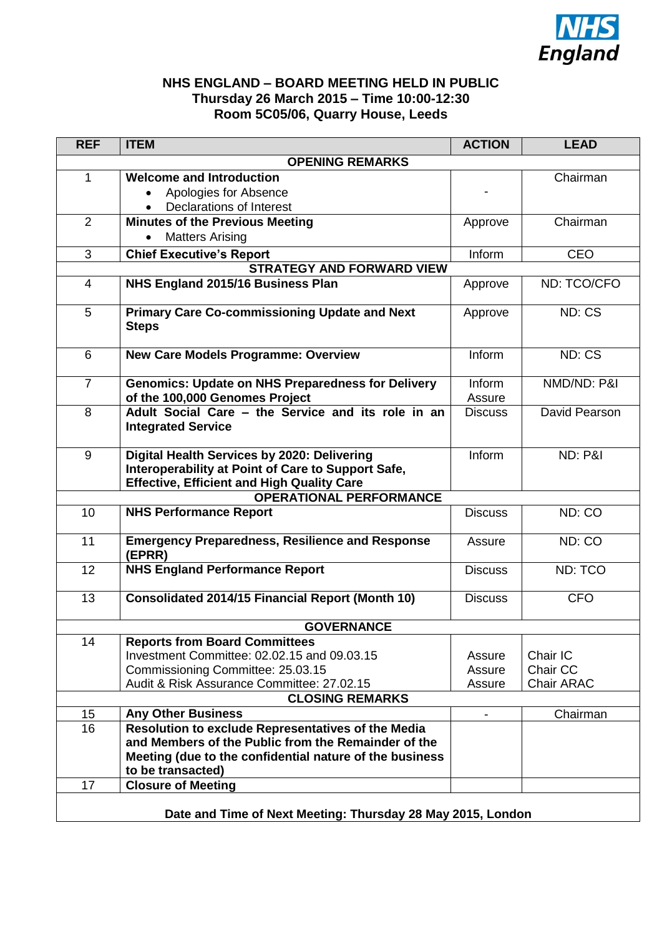

## **NHS ENGLAND – BOARD MEETING HELD IN PUBLIC Thursday 26 March 2015 – Time 10:00-12:30 Room 5C05/06, Quarry House, Leeds**

| <b>REF</b>                                                  | <b>ITEM</b>                                                                                                                                            | <b>ACTION</b>    | <b>LEAD</b>        |  |
|-------------------------------------------------------------|--------------------------------------------------------------------------------------------------------------------------------------------------------|------------------|--------------------|--|
| <b>OPENING REMARKS</b>                                      |                                                                                                                                                        |                  |                    |  |
| 1                                                           | <b>Welcome and Introduction</b>                                                                                                                        |                  | Chairman           |  |
|                                                             | Apologies for Absence                                                                                                                                  |                  |                    |  |
|                                                             | <b>Declarations of Interest</b>                                                                                                                        |                  |                    |  |
| 2                                                           | <b>Minutes of the Previous Meeting</b>                                                                                                                 | Approve          | Chairman           |  |
|                                                             | <b>Matters Arising</b>                                                                                                                                 |                  |                    |  |
| 3                                                           | <b>Chief Executive's Report</b>                                                                                                                        | Inform           | <b>CEO</b>         |  |
| <b>STRATEGY AND FORWARD VIEW</b>                            |                                                                                                                                                        |                  |                    |  |
| $\overline{4}$                                              | NHS England 2015/16 Business Plan                                                                                                                      | Approve          | ND: TCO/CFO        |  |
| 5                                                           | <b>Primary Care Co-commissioning Update and Next</b><br><b>Steps</b>                                                                                   | Approve          | ND: CS             |  |
| 6                                                           | <b>New Care Models Programme: Overview</b>                                                                                                             | Inform           | ND: CS             |  |
| $\overline{7}$                                              | <b>Genomics: Update on NHS Preparedness for Delivery</b><br>of the 100,000 Genomes Project                                                             | Inform<br>Assure | NMD/ND: P&I        |  |
| 8                                                           | Adult Social Care - the Service and its role in an<br><b>Integrated Service</b>                                                                        | <b>Discuss</b>   | David Pearson      |  |
| 9                                                           | Digital Health Services by 2020: Delivering<br>Interoperability at Point of Care to Support Safe,<br><b>Effective, Efficient and High Quality Care</b> | Inform           | <b>ND: P&amp;I</b> |  |
| <b>OPERATIONAL PERFORMANCE</b>                              |                                                                                                                                                        |                  |                    |  |
| 10                                                          | <b>NHS Performance Report</b>                                                                                                                          | <b>Discuss</b>   | ND: CO             |  |
| 11                                                          | <b>Emergency Preparedness, Resilience and Response</b><br>(EPRR)                                                                                       | Assure           | ND: CO             |  |
| 12                                                          | <b>NHS England Performance Report</b>                                                                                                                  | <b>Discuss</b>   | ND: TCO            |  |
| 13                                                          | <b>Consolidated 2014/15 Financial Report (Month 10)</b>                                                                                                | <b>Discuss</b>   | <b>CFO</b>         |  |
| <b>GOVERNANCE</b>                                           |                                                                                                                                                        |                  |                    |  |
| 14                                                          | <b>Reports from Board Committees</b>                                                                                                                   |                  |                    |  |
|                                                             | Investment Committee: 02.02.15 and 09.03.15                                                                                                            | Assure           | Chair IC           |  |
|                                                             | Commissioning Committee: 25.03.15                                                                                                                      | Assure           | Chair CC           |  |
|                                                             | Audit & Risk Assurance Committee: 27.02.15                                                                                                             | Assure           | <b>Chair ARAC</b>  |  |
| <b>CLOSING REMARKS</b>                                      |                                                                                                                                                        |                  |                    |  |
| 15<br>16                                                    | <b>Any Other Business</b>                                                                                                                              |                  | Chairman           |  |
|                                                             | Resolution to exclude Representatives of the Media<br>and Members of the Public from the Remainder of the                                              |                  |                    |  |
|                                                             | Meeting (due to the confidential nature of the business                                                                                                |                  |                    |  |
|                                                             | to be transacted)                                                                                                                                      |                  |                    |  |
| 17                                                          | <b>Closure of Meeting</b>                                                                                                                              |                  |                    |  |
|                                                             |                                                                                                                                                        |                  |                    |  |
| Date and Time of Next Meeting: Thursday 28 May 2015, London |                                                                                                                                                        |                  |                    |  |